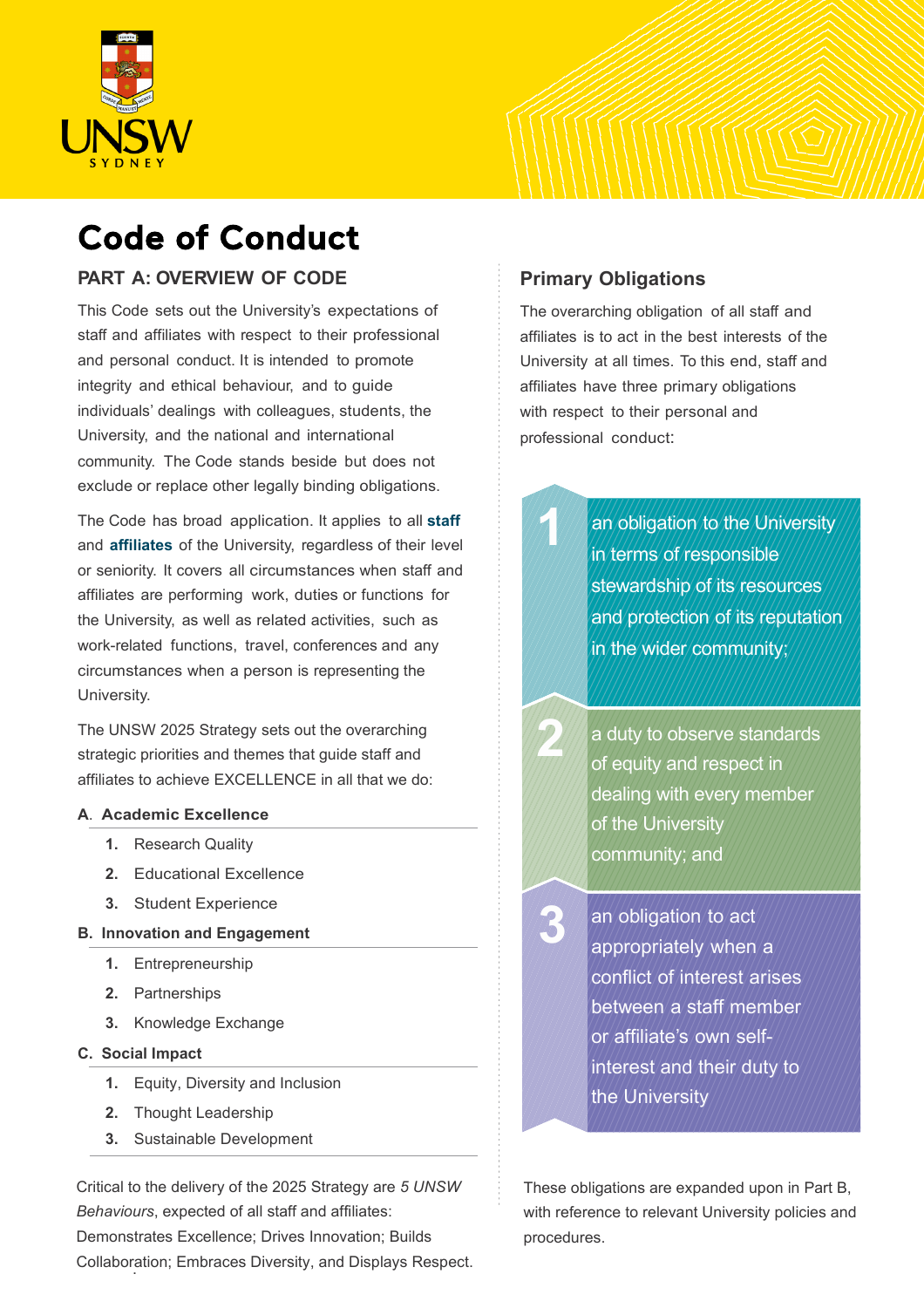

# Code of Conduct

#### **PART A: OVERVIEW OF CODE**

This Code sets out the University's expectations of staff and affiliates with respect to their professional and personal conduct. It is intended to promote integrity and ethical behaviour, and to guide individuals' dealings with colleagues, students, the University, and the national and international community. The Code stands beside but does not exclude or replace other legally binding obligations.

The Code has broad application. It applies to all **staff** and **affiliates** of the University, regardless of their level or seniority. It covers all circumstances when staff and affiliates are performing work, duties or functions for the University, as well as related activities, such as work-related functions, travel, conferences and any circumstances when a person is representing the University.

The UNSW 2025 Strategy sets out the overarching strategic priorities and themes that guide staff and affiliates to achieve EXCELLENCE in all that we do:

#### **A**. **Academic Excellence**

- **1.** Research Quality
- **2.** Educational Excellence
- **3.** Student Experience

#### **B. Innovation and Engagement**

- **1.** Entrepreneurship
- **2.** Partnerships
- **3.** Knowledge Exchange
- **C. Social Impact**
	- **1.** Equity, Diversity and Inclusion
	- **2.** Thought Leadership
	- **3.** Sustainable Development

. Collaboration; Embraces Diversity, and Displays Respect.Critical to the delivery of the 2025 Strategy are *5 UNSW Behaviours*, expected of all staff and affiliates: Demonstrates Excellence; Drives Innovation; Builds

### **Primary Obligations**

**1**

**3**

**2**

The overarching obligation of all staff and affiliates is to act in the best interests of the University at all times. To this end, staff and affiliates have three primary obligations with respect to their personal and professional conduct:

> an obligation to the University in terms of responsible stewardship of its resources and protection of its reputation in the wider community;

a duty to observe standards of equity and respect in dealing with every member of the University community; and

an obligation to act appropriately when a conflict of interest arises between a staff member or affiliate's own selfinterest and their duty to the University

These obligations are expanded upon in Part B, with reference to relevant University policies and procedures.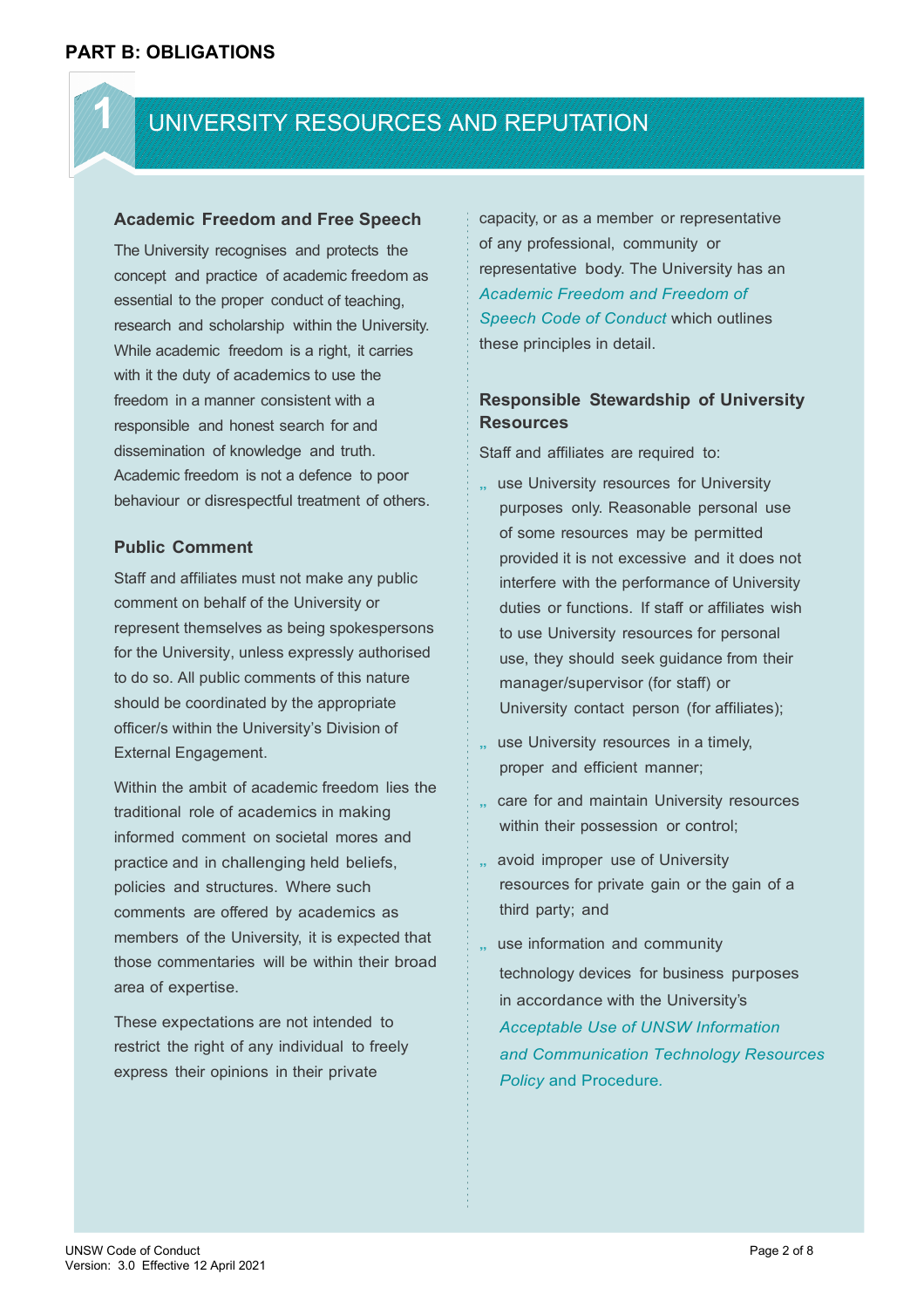**1**

## UNIVERSITY RESOURCES AND REPUTATION

#### **Academic Freedom and Free Speech**

The University recognises and protects the concept and practice of academic freedom as essential to the proper conduct of teaching, research and scholarship within the University. While academic freedom is a right, it carries with it the duty of academics to use the freedom in a manner consistent with a responsible and honest search for and dissemination of knowledge and truth. Academic freedom is not a defence to poor behaviour or disrespectful treatment of others.

#### **Public Comment**

Staff and affiliates must not make any public comment on behalf of the University or represent themselves as being spokespersons for the University, unless expressly authorised to do so. All public comments of this nature should be coordinated by the appropriate officer/s within the University's Division of External Engagement.

Within the ambit of academic freedom lies the traditional role of academics in making informed comment on societal mores and practice and in challenging held beliefs, policies and structures. Where such comments are offered by academics as members of the University, it is expected that those commentaries will be within their broad area of expertise.

These expectations are not intended to restrict the right of any individual to freely express their opinions in their private

capacity, or as a member or representative of any professional, community or representative body. The University has an *Academic Freedom and Freedom of Speech Code of Conduct* which outlines these principles in detail.

#### **Responsible Stewardship of University Resources**

Staff and affiliates are required to:

- use University resources for University purposes only. Reasonable personal use of some resources may be permitted provided it is not excessive and it does not interfere with the performance of University duties or functions. If staff or affiliates wish to use University resources for personal use, they should seek guidance from their manager/supervisor (for staff) or University contact person (for affiliates);
- ., use University resources in a timely, proper and efficient manner;
- .. care for and maintain University resources within their possession or control;
- .. avoid improper use of University resources for private gain or the gain of a third party; and
- .. use information and community technology devices for business purposes in accordance with the University's *Acceptable Use of UNSW Information and Communication Technology Resources Policy* and Procedure*.*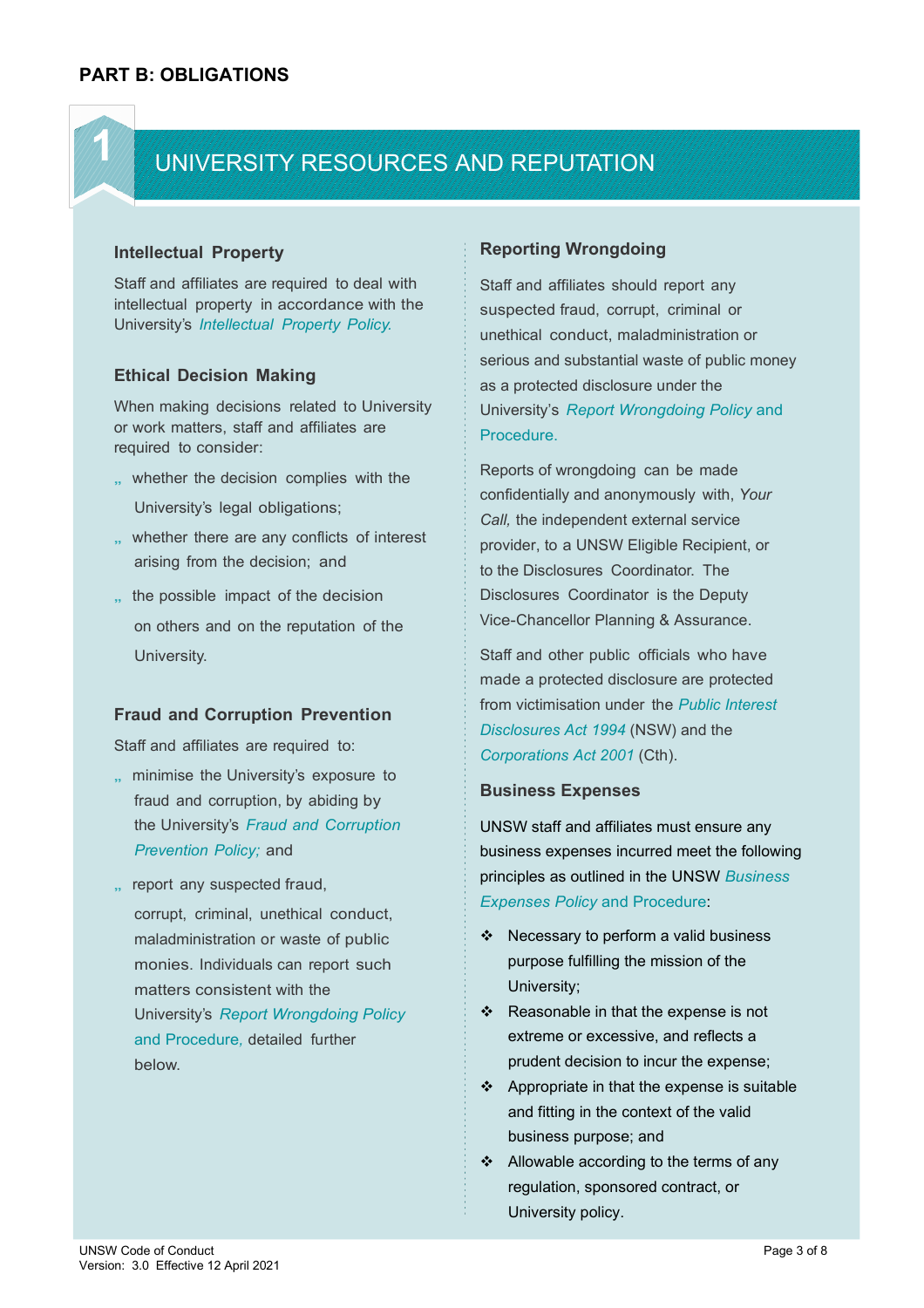**1**

## UNIVERSITY RESOURCES AND REPUTATION

#### **Intellectual Property**

Staff and affiliates are required to deal with intellectual property in accordance with the University's *Intellectual Property Policy.*

#### **Ethical Decision Making**

When making decisions related to University or work matters, staff and affiliates are required to consider:

- ,, whether the decision complies with the University's legal obligations;
- .. whether there are any conflicts of interest arising from the decision; and
- " the possible impact of the decision on others and on the reputation of the University.

#### **Fraud and Corruption Prevention**

Staff and affiliates are required to:

- .. minimise the University's exposure to fraud and corruption, by abiding by the University's *Fraud and Corruption Prevention Policy;* and
- ., report any suspected fraud,

corrupt, criminal, unethical conduct, maladministration or waste of public monies. Individuals can report such matters consistent with the University's *Report Wrongdoing Policy*  and Procedure*,* detailed further below.

#### **Reporting Wrongdoing**

Staff and affiliates should report any suspected fraud, corrupt, criminal or unethical conduct, maladministration or serious and substantial waste of public money as a protected disclosure under the University's *Report Wrongdoing Policy* and Procedure.

Reports of wrongdoing can be made confidentially and anonymously with, *Your Call,* the independent external service provider, to a UNSW Eligible Recipient, or to the Disclosures Coordinator. The Disclosures Coordinator is the Deputy Vice-Chancellor Planning & Assurance.

Staff and other public officials who have made a protected disclosure are protected from victimisation under the *Public Interest Disclosures Act 1994* (NSW) and the *Corporations Act 2001* (Cth).

#### **Business Expenses**

UNSW staff and affiliates must ensure any business expenses incurred meet the following principles as outlined in the UNSW *Business Expenses Policy* and Procedure:

- ❖ Necessary to perform a valid business purpose fulfilling the mission of the University;
- $\div$  Reasonable in that the expense is not extreme or excessive, and reflects a prudent decision to incur the expense;
- $\div$  Appropriate in that the expense is suitable and fitting in the context of the valid business purpose; and
- ❖ Allowable according to the terms of any regulation, sponsored contract, or University policy.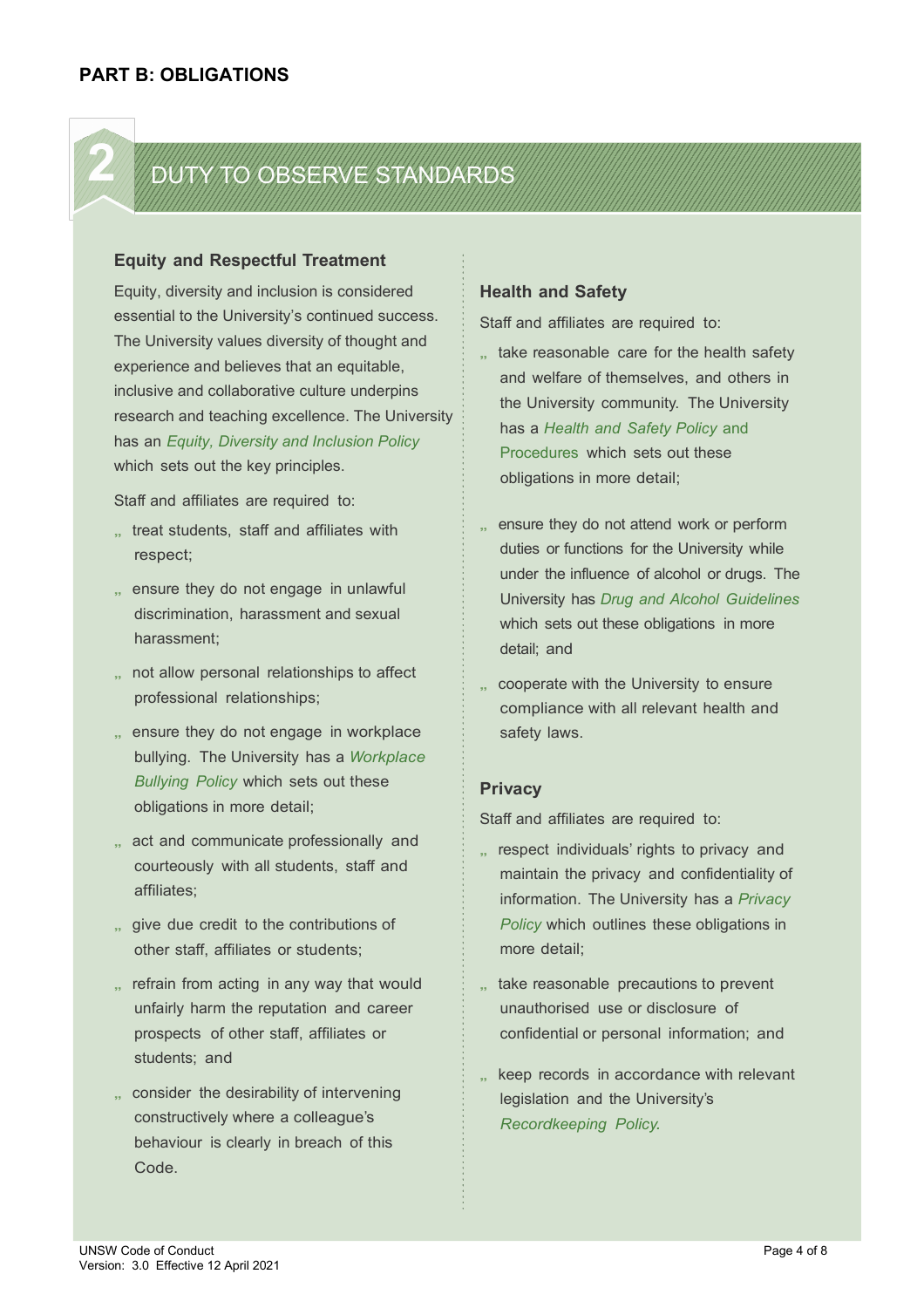## *2 DTY TO OBSERVE STANDARDS*

#### **Equity and Respectful Treatment**

Equity, diversity and inclusion is considered essential to the University's continued success. The University values diversity of thought and experience and believes that an equitable, inclusive and collaborative culture underpins research and teaching excellence. The University has an *Equity, Diversity and Inclusion Policy* which sets out the key principles.

Staff and affiliates are required to:

- ., treat students, staff and affiliates with respect;
- .. ensure they do not engage in unlawful discrimination, harassment and sexual harassment;
- .. not allow personal relationships to affect professional relationships;
- .. ensure they do not engage in workplace bullying. The University has a *Workplace Bullying Policy* which sets out these obligations in more detail;
- ., act and communicate professionally and courteously with all students, staff and affiliates;
- ., give due credit to the contributions of other staff, affiliates or students;
- .. refrain from acting in any way that would unfairly harm the reputation and career prospects of other staff, affiliates or students; and
- ., consider the desirability of intervening constructively where a colleague's behaviour is clearly in breach of this Code.

#### **Health and Safety**

Staff and affiliates are required to:

- ., take reasonable care for the health safety and welfare of themselves, and others in the University community. The University has a *Health and Safety Policy* and Procedures which sets out these obligations in more detail;
- .. ensure they do not attend work or perform duties or functions for the University while under the influence of alcohol or drugs. The University has *Drug and Alcohol Guidelines*  which sets out these obligations in more detail; and
- ., cooperate with the University to ensure compliance with all relevant health and safety laws.

#### **Privacy**

Staff and affiliates are required to:

- .. respect individuals' rights to privacy and maintain the privacy and confidentiality of information. The University has a *Privacy Policy* which outlines these obligations in more detail;
- .. take reasonable precautions to prevent unauthorised use or disclosure of confidential or personal information; and
- " keep records in accordance with relevant legislation and the University's *Recordkeeping Policy.*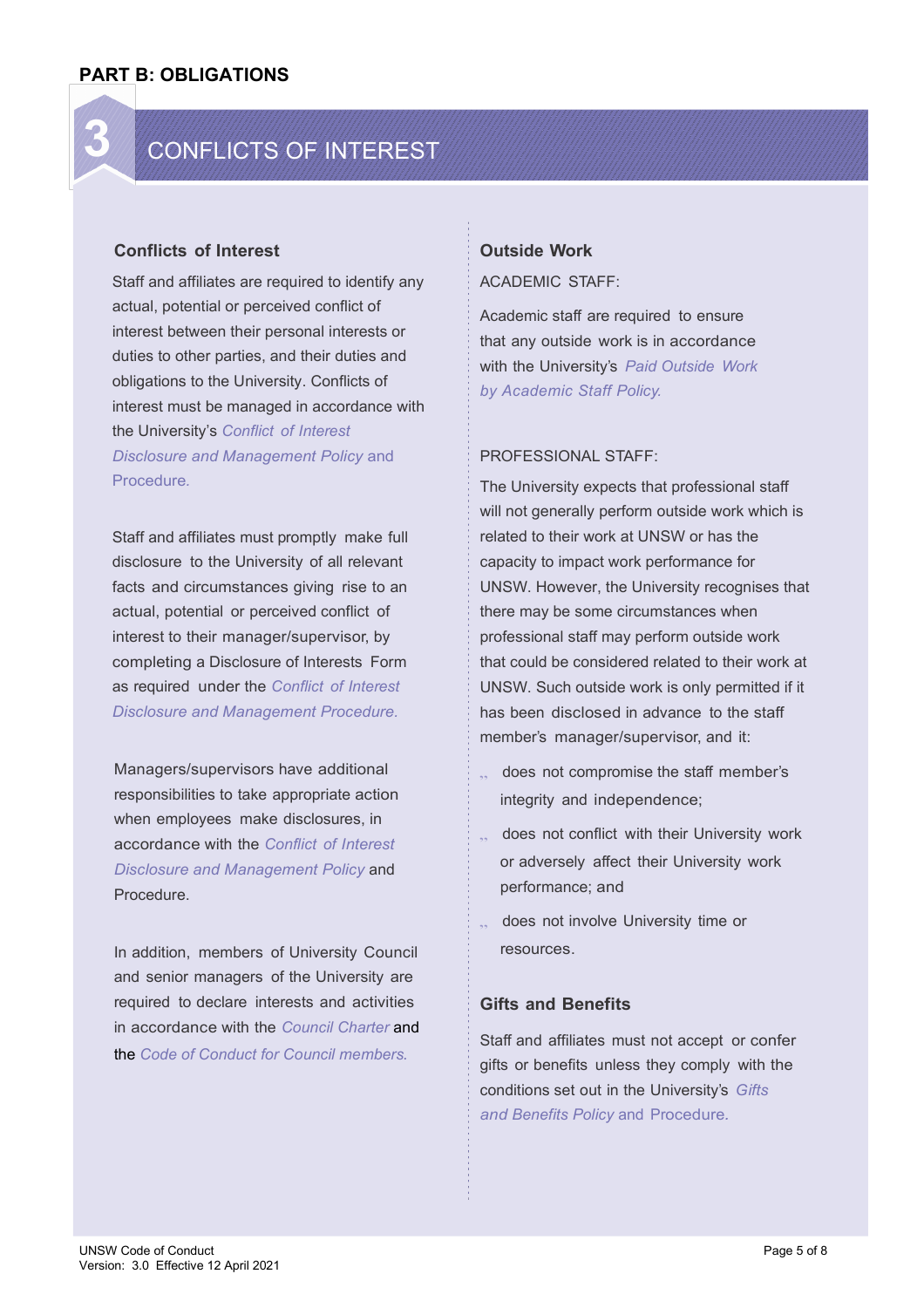

#### **Conflicts of Interest**

Staff and affiliates are required to identify any actual, potential or perceived conflict of interest between their personal interests or duties to other parties, and their duties and obligations to the University. Conflicts of interest must be managed in accordance with the University's *Conflict of Interest Disclosure and Management Policy* and Procedure*.*

Staff and affiliates must promptly make full disclosure to the University of all relevant facts and circumstances giving rise to an actual, potential or perceived conflict of interest to their manager/supervisor, by completing a Disclosure of Interests Form as required under the *Conflict of Interest Disclosure and Management Procedure.*

Managers/supervisors have additional responsibilities to take appropriate action when employees make disclosures, in accordance with the *Conflict of Interest Disclosure and Management Policy* and Procedure.

In addition, members of University Council and senior managers of the University are required to declare interests and activities in accordance with the *[Council Charter](https://www.gs.unsw.edu.au/councilandcommittees/CouncilCharter.pdf)* and the *[Code of Conduct for Council members](https://www.gs.unsw.edu.au/councilandcommittees/CodeofConduct.pdf).*

#### **Outside Work**

ACADEMIC STAFF:

Academic staff are required to ensure that any outside work is in accordance with the University's *Paid Outside Work by Academic Staff Policy.*

#### PROFESSIONAL STAFF:

The University expects that professional staff will not generally perform outside work which is related to their work at UNSW or has the capacity to impact work performance for UNSW. However, the University recognises that there may be some circumstances when professional staff may perform outside work that could be considered related to their work at UNSW. Such outside work is only permitted if it has been disclosed in advance to the staff member's manager/supervisor, and it:

- does not compromise the staff member's integrity and independence;
- .. does not conflict with their University work or adversely affect their University work performance; and
- does not involve University time or resources.

#### **Gifts and Benefits**

Staff and affiliates must not accept or confer gifts or benefits unless they comply with the conditions set out in the University's *Gifts and Benefits Policy* and Procedure*.*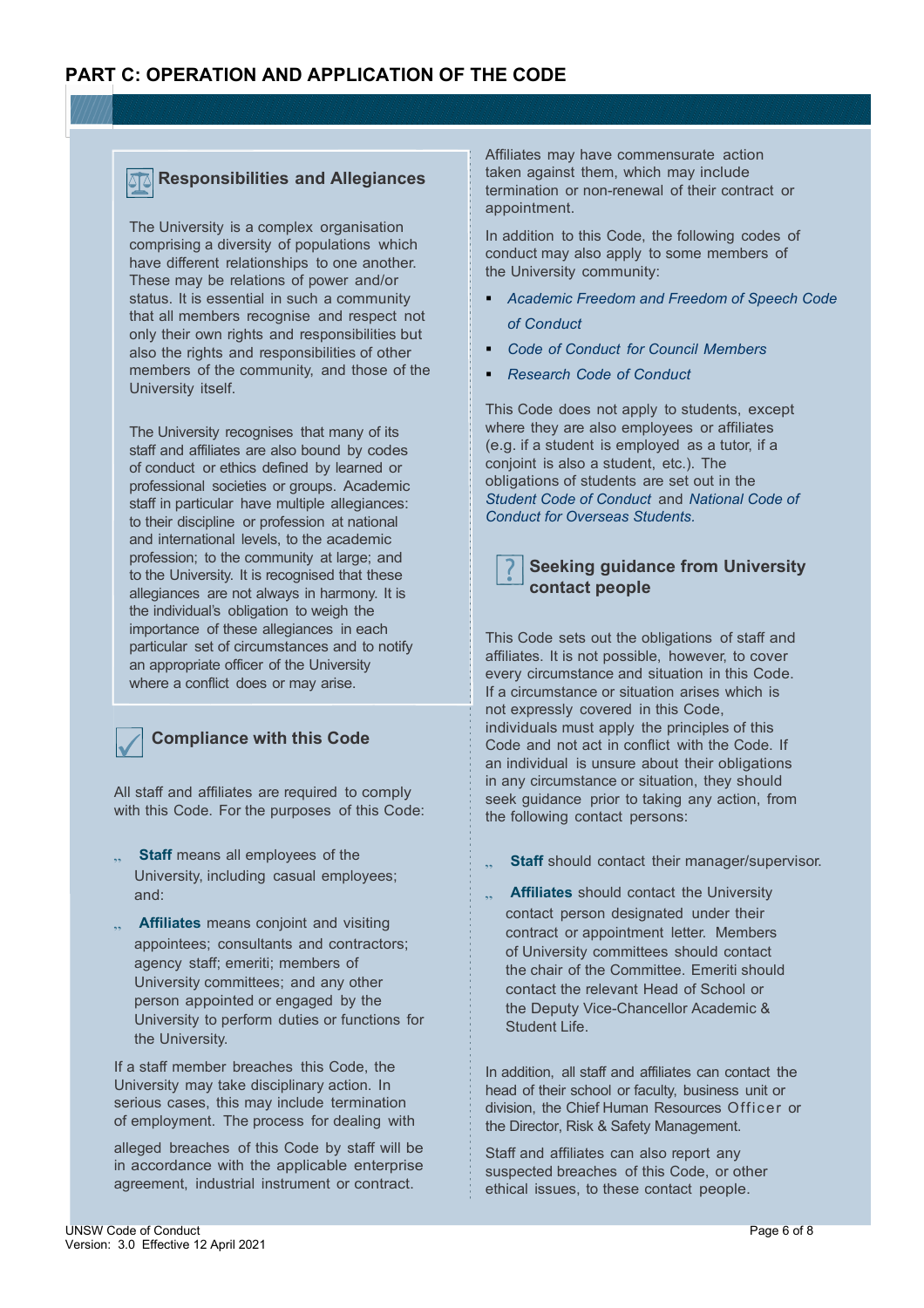#### **Responsibilities and Allegiances**

The University is a complex organisation comprising a diversity of populations which have different relationships to one another. These may be relations of power and/or status. It is essential in such a community that all members recognise and respect not only their own rights and responsibilities but also the rights and responsibilities of other members of the community, and those of the University itself.

The University recognises that many of its staff and affiliates are also bound by codes of conduct or ethics defined by learned or professional societies or groups. Academic staff in particular have multiple allegiances: to their discipline or profession at national and international levels, to the academic profession; to the community at large; and to the University. It is recognised that these allegiances are not always in harmony. It is the individual's obligation to weigh the importance of these allegiances in each particular set of circumstances and to notify an appropriate officer of the University where a conflict does or may arise.

## **Compliance with this Code**

All staff and affiliates are required to comply with this Code. For the purposes of this Code:

- .. Staff means all employees of the University, including casual employees; and:
- ., **Affiliates** means conjoint and visiting appointees; consultants and contractors; agency staff; emeriti; members of University committees; and any other person appointed or engaged by the University to perform duties or functions for the University.

If a staff member breaches this Code, the University may take disciplinary action. In serious cases, this may include termination of employment. The process for dealing with

alleged breaches of this Code by staff will be in accordance with the applicable enterprise agreement, industrial instrument or contract.

Affiliates may have commensurate action taken against them, which may include termination or non-renewal of their contract or appointment.

In addition to this Code, the following codes of conduct may also apply to some members of the University community:

- *Academic Freedom and Freedom of Speech Code of Conduct*
- *Code of Conduct for Council Members*
- *Research Code of Conduct*

This Code does not apply to students, except where they are also employees or affiliates (e.g. if a student is employed as a tutor, if a conjoint is also a student, etc.). The obligations of students are set out in the *Student Code of Conduct* and *National Code of Conduct for Overseas Students.*

#### **Seeking guidance from University contact people**

This Code sets out the obligations of staff and affiliates. It is not possible, however, to cover every circumstance and situation in this Code. If a circumstance or situation arises which is not expressly covered in this Code, individuals must apply the principles of this Code and not act in conflict with the Code. If an individual is unsure about their obligations in any circumstance or situation, they should seek guidance prior to taking any action, from the following contact persons:

- **Staff** should contact their manager/supervisor.
- .. **Affiliates** should contact the University contact person designated under their contract or appointment letter. Members of University committees should contact the chair of the Committee. Emeriti should contact the relevant Head of School or the Deputy Vice-Chancellor Academic & Student Life.

In addition, all staff and affiliates can contact the head of their school or faculty, business unit or division, the Chief Human Resources Officer or the Director, Risk & Safety Management.

Staff and affiliates can also report any suspected breaches of this Code, or other ethical issues, to these contact people.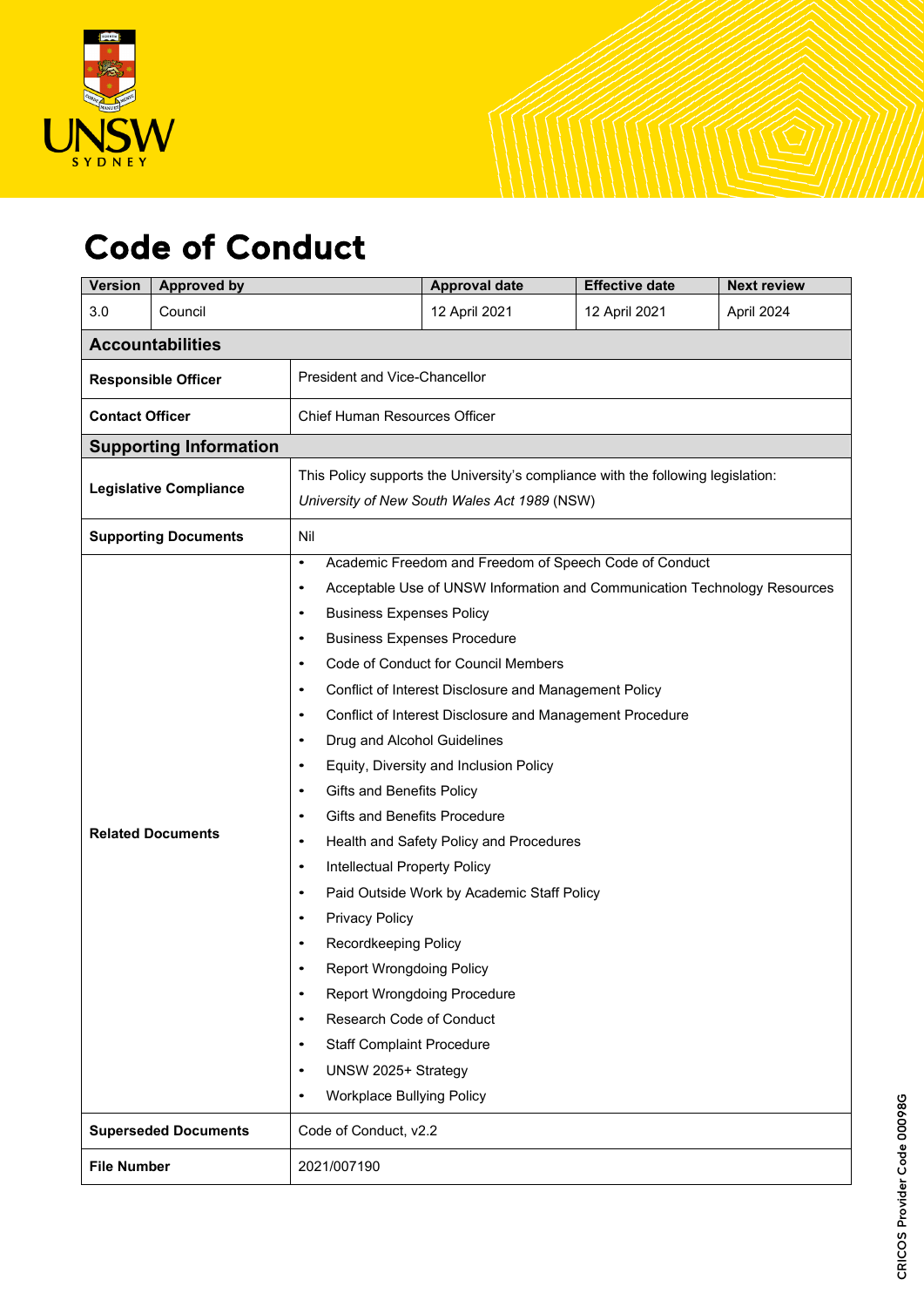

# Code of Conduct

| <b>Version</b>                | <b>Approved by</b>            |                                                                                                                                                                                                                                                                                                                                    |                                                                                                                                                                                                                                                                                                                                                                                                                                                                                                                                                                                                                                                                                                                                                                                                                 | <b>Effective date</b> | <b>Next review</b> |  |  |  |
|-------------------------------|-------------------------------|------------------------------------------------------------------------------------------------------------------------------------------------------------------------------------------------------------------------------------------------------------------------------------------------------------------------------------|-----------------------------------------------------------------------------------------------------------------------------------------------------------------------------------------------------------------------------------------------------------------------------------------------------------------------------------------------------------------------------------------------------------------------------------------------------------------------------------------------------------------------------------------------------------------------------------------------------------------------------------------------------------------------------------------------------------------------------------------------------------------------------------------------------------------|-----------------------|--------------------|--|--|--|
| 3.0                           | Council                       |                                                                                                                                                                                                                                                                                                                                    | 12 April 2021                                                                                                                                                                                                                                                                                                                                                                                                                                                                                                                                                                                                                                                                                                                                                                                                   | 12 April 2021         | April 2024         |  |  |  |
| <b>Accountabilities</b>       |                               |                                                                                                                                                                                                                                                                                                                                    |                                                                                                                                                                                                                                                                                                                                                                                                                                                                                                                                                                                                                                                                                                                                                                                                                 |                       |                    |  |  |  |
| <b>Responsible Officer</b>    |                               | President and Vice-Chancellor                                                                                                                                                                                                                                                                                                      |                                                                                                                                                                                                                                                                                                                                                                                                                                                                                                                                                                                                                                                                                                                                                                                                                 |                       |                    |  |  |  |
| <b>Contact Officer</b>        |                               | Chief Human Resources Officer                                                                                                                                                                                                                                                                                                      |                                                                                                                                                                                                                                                                                                                                                                                                                                                                                                                                                                                                                                                                                                                                                                                                                 |                       |                    |  |  |  |
|                               | <b>Supporting Information</b> |                                                                                                                                                                                                                                                                                                                                    |                                                                                                                                                                                                                                                                                                                                                                                                                                                                                                                                                                                                                                                                                                                                                                                                                 |                       |                    |  |  |  |
| <b>Legislative Compliance</b> |                               | This Policy supports the University's compliance with the following legislation:<br>University of New South Wales Act 1989 (NSW)                                                                                                                                                                                                   |                                                                                                                                                                                                                                                                                                                                                                                                                                                                                                                                                                                                                                                                                                                                                                                                                 |                       |                    |  |  |  |
| <b>Supporting Documents</b>   |                               | Nil                                                                                                                                                                                                                                                                                                                                |                                                                                                                                                                                                                                                                                                                                                                                                                                                                                                                                                                                                                                                                                                                                                                                                                 |                       |                    |  |  |  |
| <b>Related Documents</b>      |                               | $\bullet$<br>$\bullet$<br>$\bullet$<br>$\bullet$<br>$\bullet$<br>$\bullet$<br>$\bullet$<br>$\bullet$<br>$\bullet$<br>$\bullet$<br>$\bullet$<br>$\bullet$<br>$\bullet$<br>$\bullet$<br><b>Privacy Policy</b><br>$\bullet$<br>٠<br>$\bullet$<br>٠<br>$\bullet$<br>UNSW 2025+ Strategy<br>$\bullet$<br>Workplace Bullying Policy<br>٠ | Academic Freedom and Freedom of Speech Code of Conduct<br>Acceptable Use of UNSW Information and Communication Technology Resources<br><b>Business Expenses Policy</b><br><b>Business Expenses Procedure</b><br>Code of Conduct for Council Members<br>Conflict of Interest Disclosure and Management Policy<br>Conflict of Interest Disclosure and Management Procedure<br>Drug and Alcohol Guidelines<br>Equity, Diversity and Inclusion Policy<br>Gifts and Benefits Policy<br><b>Gifts and Benefits Procedure</b><br>Health and Safety Policy and Procedures<br>Intellectual Property Policy<br>Paid Outside Work by Academic Staff Policy<br>Recordkeeping Policy<br><b>Report Wrongdoing Policy</b><br><b>Report Wrongdoing Procedure</b><br>Research Code of Conduct<br><b>Staff Complaint Procedure</b> |                       |                    |  |  |  |
|                               | <b>Superseded Documents</b>   | Code of Conduct, v2.2                                                                                                                                                                                                                                                                                                              |                                                                                                                                                                                                                                                                                                                                                                                                                                                                                                                                                                                                                                                                                                                                                                                                                 |                       |                    |  |  |  |
| <b>File Number</b>            |                               | 2021/007190                                                                                                                                                                                                                                                                                                                        |                                                                                                                                                                                                                                                                                                                                                                                                                                                                                                                                                                                                                                                                                                                                                                                                                 |                       |                    |  |  |  |